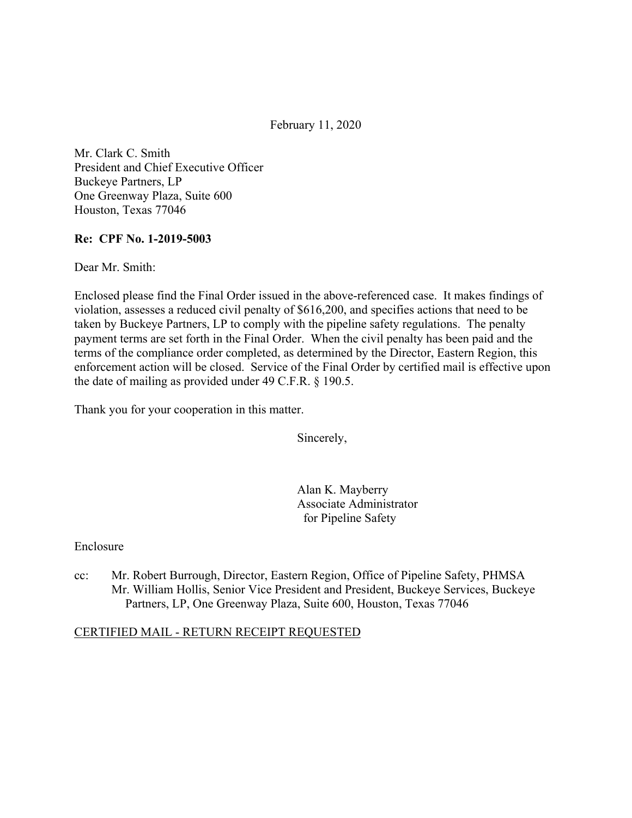February 11, 2020

Mr. Clark C. Smith President and Chief Executive Officer Buckeye Partners, LP One Greenway Plaza, Suite 600 Houston, Texas 77046

### **Re: CPF No. 1-2019-5003**

Dear Mr. Smith:

Enclosed please find the Final Order issued in the above-referenced case. It makes findings of violation, assesses a reduced civil penalty of \$616,200, and specifies actions that need to be taken by Buckeye Partners, LP to comply with the pipeline safety regulations. The penalty payment terms are set forth in the Final Order. When the civil penalty has been paid and the terms of the compliance order completed, as determined by the Director, Eastern Region, this enforcement action will be closed. Service of the Final Order by certified mail is effective upon the date of mailing as provided under 49 C.F.R. § 190.5.

Thank you for your cooperation in this matter.

Sincerely,

Alan K. Mayberry Associate Administrator for Pipeline Safety

### Enclosure

cc: Mr. Robert Burrough, Director, Eastern Region, Office of Pipeline Safety, PHMSA Mr. William Hollis, Senior Vice President and President, Buckeye Services, Buckeye Partners, LP, One Greenway Plaza, Suite 600, Houston, Texas 77046

### CERTIFIED MAIL - RETURN RECEIPT REQUESTED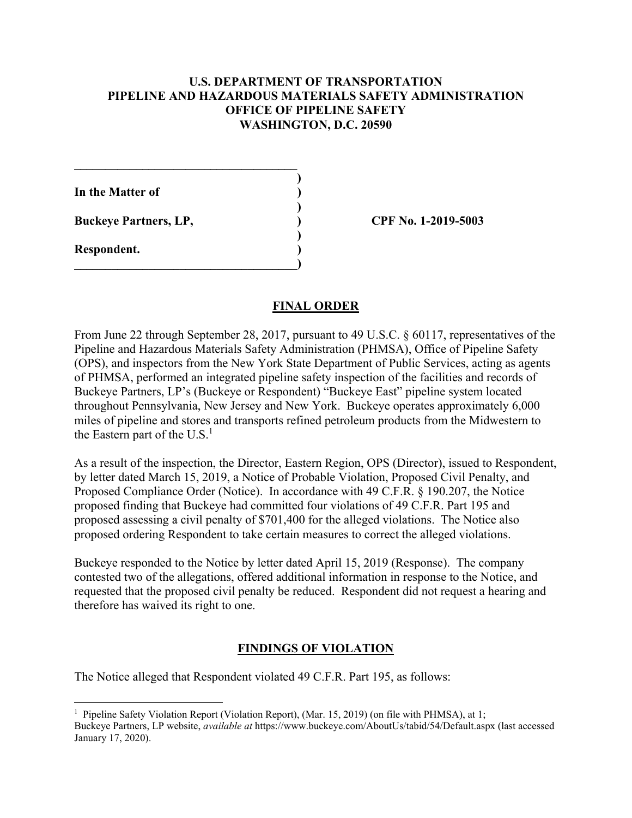### **U.S. DEPARTMENT OF TRANSPORTATION PIPELINE AND HAZARDOUS MATERIALS SAFETY ADMINISTRATION OFFICE OF PIPELINE SAFETY WASHINGTON, D.C. 20590**

**)** 

**)** 

**In the Matter of )** 

**Buckeye Partners, LP, ) CPF No. 1-2019-5003**

**\_\_\_\_\_\_\_\_\_\_\_\_\_\_\_\_\_\_\_\_\_\_\_\_\_\_\_\_\_\_\_\_\_\_\_\_** 

 **)** 

 $\overline{\phantom{a}}$ 

**Respondent. )** 

1

# **FINAL ORDER**

From June 22 through September 28, 2017, pursuant to 49 U.S.C. § 60117, representatives of the Pipeline and Hazardous Materials Safety Administration (PHMSA), Office of Pipeline Safety (OPS), and inspectors from the New York State Department of Public Services, acting as agents of PHMSA, performed an integrated pipeline safety inspection of the facilities and records of Buckeye Partners, LP's (Buckeye or Respondent) "Buckeye East" pipeline system located throughout Pennsylvania, New Jersey and New York. Buckeye operates approximately 6,000 miles of pipeline and stores and transports refined petroleum products from the Midwestern to the Eastern part of the  $U.S.<sup>1</sup>$ 

As a result of the inspection, the Director, Eastern Region, OPS (Director), issued to Respondent, by letter dated March 15, 2019, a Notice of Probable Violation, Proposed Civil Penalty, and Proposed Compliance Order (Notice). In accordance with 49 C.F.R. § 190.207, the Notice proposed finding that Buckeye had committed four violations of 49 C.F.R. Part 195 and proposed assessing a civil penalty of \$701,400 for the alleged violations. The Notice also proposed ordering Respondent to take certain measures to correct the alleged violations.

Buckeye responded to the Notice by letter dated April 15, 2019 (Response). The company contested two of the allegations, offered additional information in response to the Notice, and requested that the proposed civil penalty be reduced. Respondent did not request a hearing and therefore has waived its right to one.

# **FINDINGS OF VIOLATION**

The Notice alleged that Respondent violated 49 C.F.R. Part 195, as follows:

<sup>&</sup>lt;sup>1</sup> Pipeline Safety Violation Report (Violation Report), (Mar. 15, 2019) (on file with PHMSA), at 1; Buckeye Partners, LP website, *available at*<https://www.buckeye.com/AboutUs/tabid/54/Default.aspx> (last accessed January 17, 2020).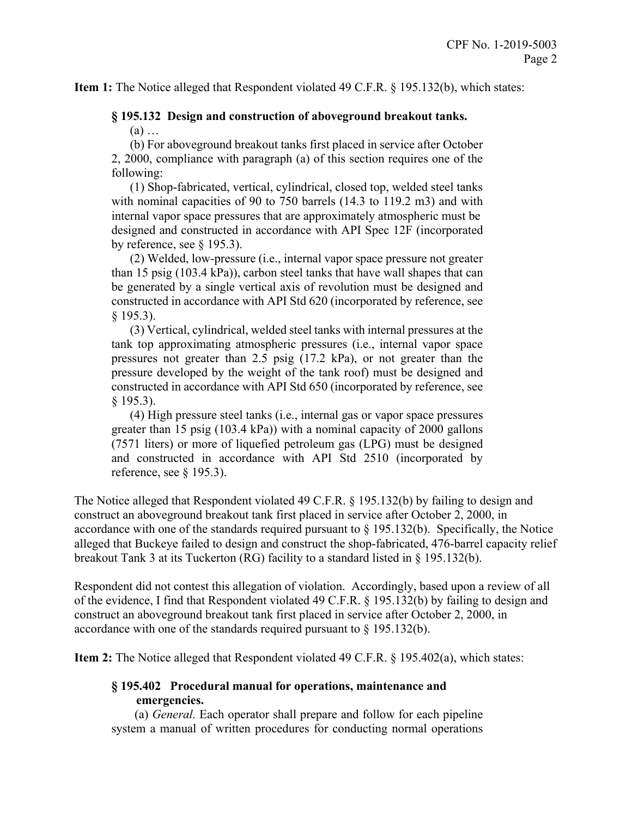**Item 1:** The Notice alleged that Respondent violated 49 C.F.R. § 195.132(b), which states:

# **§ 195.132 Design and construction of aboveground breakout tanks.**

(a) …

(b) For aboveground breakout tanks first placed in service after October 2, 2000, compliance with paragraph (a) of this section requires one of the following:

(1) Shop-fabricated, vertical, cylindrical, closed top, welded steel tanks with nominal capacities of 90 to 750 barrels (14.3 to 119.2 m3) and with internal vapor space pressures that are approximately atmospheric must be designed and constructed in accordance with API Spec 12F (incorporated by reference, see § 195.3).

(2) Welded, low-pressure (i.e., internal vapor space pressure not greater than 15 psig (103.4 kPa)), carbon steel tanks that have wall shapes that can be generated by a single vertical axis of revolution must be designed and constructed in accordance with API Std 620 (incorporated by reference, see § 195.3).

(3) Vertical, cylindrical, welded steel tanks with internal pressures at the tank top approximating atmospheric pressures (i.e., internal vapor space pressures not greater than 2.5 psig (17.2 kPa), or not greater than the pressure developed by the weight of the tank roof) must be designed and constructed in accordance with API Std 650 (incorporated by reference, see § 195.3).

(4) High pressure steel tanks (i.e., internal gas or vapor space pressures greater than 15 psig (103.4 kPa)) with a nominal capacity of 2000 gallons (7571 liters) or more of liquefied petroleum gas (LPG) must be designed and constructed in accordance with API Std 2510 (incorporated by reference, see § 195.3).

The Notice alleged that Respondent violated 49 C.F.R. § 195.132(b) by failing to design and construct an aboveground breakout tank first placed in service after October 2, 2000, in accordance with one of the standards required pursuant to § 195.132(b). Specifically, the Notice alleged that Buckeye failed to design and construct the shop-fabricated, 476-barrel capacity relief breakout Tank 3 at its Tuckerton (RG) facility to a standard listed in § 195.132(b).

Respondent did not contest this allegation of violation. Accordingly, based upon a review of all of the evidence, I find that Respondent violated 49 C.F.R. § 195.132(b) by failing to design and construct an aboveground breakout tank first placed in service after October 2, 2000, in accordance with one of the standards required pursuant to § 195.132(b).

**Item 2:** The Notice alleged that Respondent violated 49 C.F.R. § 195.402(a), which states:

### **§ 195.402 Procedural manual for operations, maintenance and emergencies.**

(a) *General.* Each operator shall prepare and follow for each pipeline system a manual of written procedures for conducting normal operations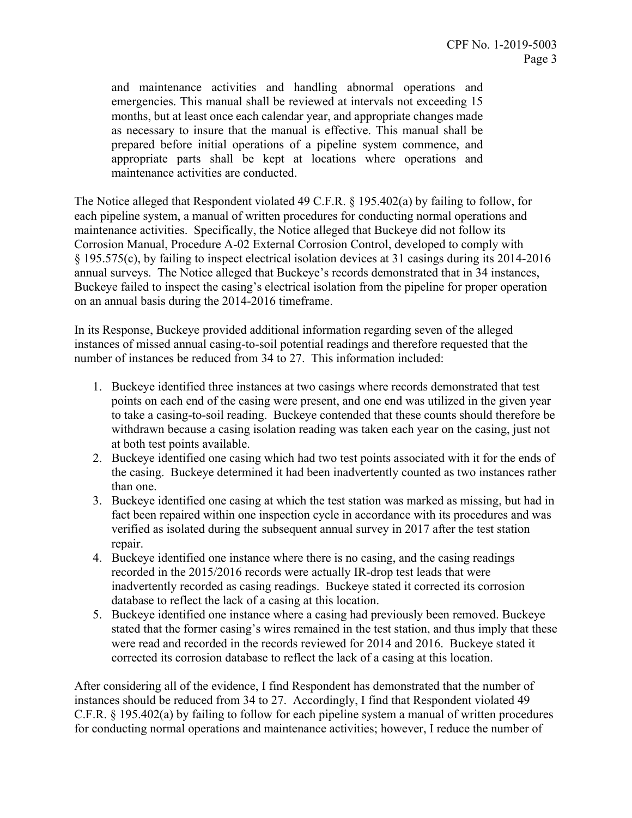and maintenance activities and handling abnormal operations and emergencies. This manual shall be reviewed at intervals not exceeding 15 months, but at least once each calendar year, and appropriate changes made as necessary to insure that the manual is effective. This manual shall be prepared before initial operations of a pipeline system commence, and appropriate parts shall be kept at locations where operations and maintenance activities are conducted.

The Notice alleged that Respondent violated 49 C.F.R. § 195.402(a) by failing to follow, for each pipeline system, a manual of written procedures for conducting normal operations and maintenance activities. Specifically, the Notice alleged that Buckeye did not follow its Corrosion Manual, Procedure A-02 External Corrosion Control, developed to comply with § 195.575(c), by failing to inspect electrical isolation devices at 31 casings during its 2014-2016 annual surveys. The Notice alleged that Buckeye's records demonstrated that in 34 instances, Buckeye failed to inspect the casing's electrical isolation from the pipeline for proper operation on an annual basis during the 2014-2016 timeframe.

In its Response, Buckeye provided additional information regarding seven of the alleged instances of missed annual casing-to-soil potential readings and therefore requested that the number of instances be reduced from 34 to 27. This information included:

- 1. Buckeye identified three instances at two casings where records demonstrated that test points on each end of the casing were present, and one end was utilized in the given year to take a casing-to-soil reading. Buckeye contended that these counts should therefore be withdrawn because a casing isolation reading was taken each year on the casing, just not at both test points available.
- 2. Buckeye identified one casing which had two test points associated with it for the ends of the casing. Buckeye determined it had been inadvertently counted as two instances rather than one.
- 3. Buckeye identified one casing at which the test station was marked as missing, but had in fact been repaired within one inspection cycle in accordance with its procedures and was verified as isolated during the subsequent annual survey in 2017 after the test station repair.
- 4. Buckeye identified one instance where there is no casing, and the casing readings recorded in the 2015/2016 records were actually IR-drop test leads that were inadvertently recorded as casing readings. Buckeye stated it corrected its corrosion database to reflect the lack of a casing at this location.
- 5. Buckeye identified one instance where a casing had previously been removed. Buckeye stated that the former casing's wires remained in the test station, and thus imply that these were read and recorded in the records reviewed for 2014 and 2016. Buckeye stated it corrected its corrosion database to reflect the lack of a casing at this location.

After considering all of the evidence, I find Respondent has demonstrated that the number of instances should be reduced from 34 to 27. Accordingly, I find that Respondent violated 49 C.F.R. § 195.402(a) by failing to follow for each pipeline system a manual of written procedures for conducting normal operations and maintenance activities; however, I reduce the number of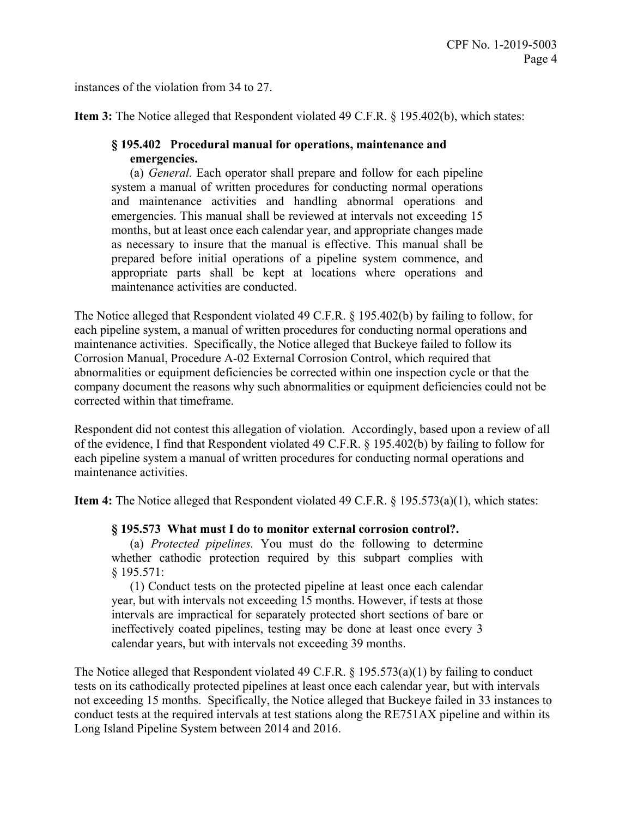instances of the violation from 34 to 27.

**Item 3:** The Notice alleged that Respondent violated 49 C.F.R. § 195.402(b), which states:

### **§ 195.402 Procedural manual for operations, maintenance and emergencies.**

(a) *General.* Each operator shall prepare and follow for each pipeline system a manual of written procedures for conducting normal operations and maintenance activities and handling abnormal operations and emergencies. This manual shall be reviewed at intervals not exceeding 15 months, but at least once each calendar year, and appropriate changes made as necessary to insure that the manual is effective. This manual shall be prepared before initial operations of a pipeline system commence, and appropriate parts shall be kept at locations where operations and maintenance activities are conducted.

The Notice alleged that Respondent violated 49 C.F.R. § 195.402(b) by failing to follow, for each pipeline system, a manual of written procedures for conducting normal operations and maintenance activities. Specifically, the Notice alleged that Buckeye failed to follow its Corrosion Manual, Procedure A-02 External Corrosion Control, which required that abnormalities or equipment deficiencies be corrected within one inspection cycle or that the company document the reasons why such abnormalities or equipment deficiencies could not be corrected within that timeframe.

Respondent did not contest this allegation of violation. Accordingly, based upon a review of all of the evidence, I find that Respondent violated 49 C.F.R. § 195.402(b) by failing to follow for each pipeline system a manual of written procedures for conducting normal operations and maintenance activities.

**Item 4:** The Notice alleged that Respondent violated 49 C.F.R. § 195.573(a)(1), which states:

### **§ 195.573 What must I do to monitor external corrosion control?.**

(a) *Protected pipelines.* You must do the following to determine whether cathodic protection required by this subpart complies with § 195.571:

(1) Conduct tests on the protected pipeline at least once each calendar year, but with intervals not exceeding 15 months. However, if tests at those intervals are impractical for separately protected short sections of bare or ineffectively coated pipelines, testing may be done at least once every 3 calendar years, but with intervals not exceeding 39 months.

The Notice alleged that Respondent violated 49 C.F.R. § 195.573(a)(1) by failing to conduct tests on its cathodically protected pipelines at least once each calendar year, but with intervals not exceeding 15 months. Specifically, the Notice alleged that Buckeye failed in 33 instances to conduct tests at the required intervals at test stations along the RE751AX pipeline and within its Long Island Pipeline System between 2014 and 2016.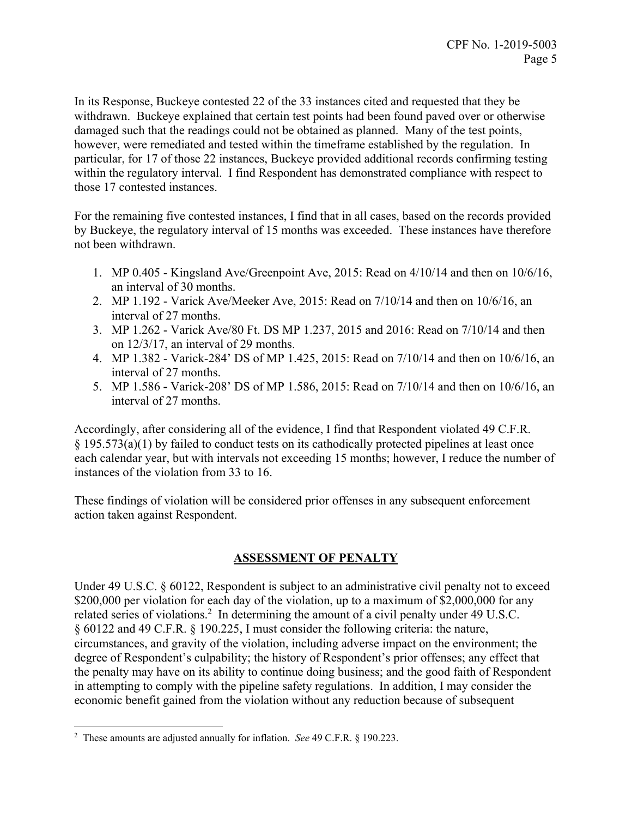In its Response, Buckeye contested 22 of the 33 instances cited and requested that they be withdrawn. Buckeye explained that certain test points had been found paved over or otherwise damaged such that the readings could not be obtained as planned. Many of the test points, however, were remediated and tested within the timeframe established by the regulation. In particular, for 17 of those 22 instances, Buckeye provided additional records confirming testing within the regulatory interval. I find Respondent has demonstrated compliance with respect to those 17 contested instances.

For the remaining five contested instances, I find that in all cases, based on the records provided by Buckeye, the regulatory interval of 15 months was exceeded. These instances have therefore not been withdrawn.

- 1. MP 0.405 Kingsland Ave/Greenpoint Ave, 2015: Read on 4/10/14 and then on 10/6/16, an interval of 30 months.
- 2. MP 1.192 Varick Ave/Meeker Ave, 2015: Read on 7/10/14 and then on 10/6/16, an interval of 27 months.
- 3. MP 1.262 Varick Ave/80 Ft. DS MP 1.237, 2015 and 2016: Read on 7/10/14 and then on 12/3/17, an interval of 29 months.
- 4. MP 1.382 Varick-284' DS of MP 1.425, 2015: Read on 7/10/14 and then on 10/6/16, an interval of 27 months.
- 5. MP 1.586 **-** Varick-208' DS of MP 1.586, 2015: Read on 7/10/14 and then on 10/6/16, an interval of 27 months.

Accordingly, after considering all of the evidence, I find that Respondent violated 49 C.F.R. § 195.573(a)(1) by failed to conduct tests on its cathodically protected pipelines at least once each calendar year, but with intervals not exceeding 15 months; however, I reduce the number of instances of the violation from 33 to 16.

These findings of violation will be considered prior offenses in any subsequent enforcement action taken against Respondent.

# **ASSESSMENT OF PENALTY**

Under 49 U.S.C. § 60122, Respondent is subject to an administrative civil penalty not to exceed \$200,000 per violation for each day of the violation, up to a maximum of \$2,000,000 for any related series of violations.<sup>2</sup> In determining the amount of a civil penalty under 49 U.S.C. § 60122 and 49 C.F.R. § 190.225, I must consider the following criteria: the nature, circumstances, and gravity of the violation, including adverse impact on the environment; the degree of Respondent's culpability; the history of Respondent's prior offenses; any effect that the penalty may have on its ability to continue doing business; and the good faith of Respondent in attempting to comply with the pipeline safety regulations. In addition, I may consider the economic benefit gained from the violation without any reduction because of subsequent

 $\overline{a}$ 2 These amounts are adjusted annually for inflation. *See* 49 C.F.R. § 190.223.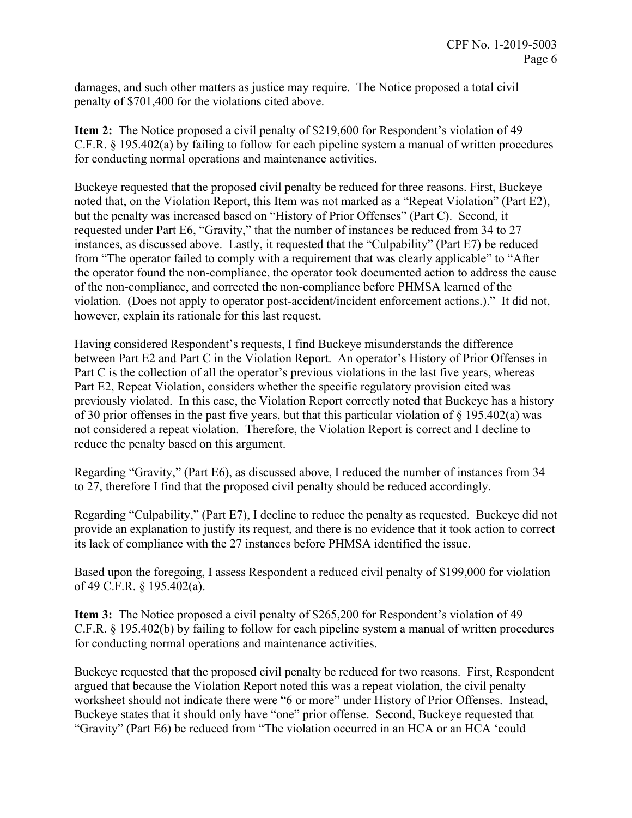damages, and such other matters as justice may require. The Notice proposed a total civil penalty of \$701,400 for the violations cited above.

**Item 2:** The Notice proposed a civil penalty of \$219,600 for Respondent's violation of 49 C.F.R. § 195.402(a) by failing to follow for each pipeline system a manual of written procedures for conducting normal operations and maintenance activities.

Buckeye requested that the proposed civil penalty be reduced for three reasons. First, Buckeye noted that, on the Violation Report, this Item was not marked as a "Repeat Violation" (Part E2), but the penalty was increased based on "History of Prior Offenses" (Part C). Second, it requested under Part E6, "Gravity," that the number of instances be reduced from 34 to 27 instances, as discussed above. Lastly, it requested that the "Culpability" (Part E7) be reduced from "The operator failed to comply with a requirement that was clearly applicable" to "After the operator found the non-compliance, the operator took documented action to address the cause of the non-compliance, and corrected the non-compliance before PHMSA learned of the violation. (Does not apply to operator post-accident/incident enforcement actions.)." It did not, however, explain its rationale for this last request.

Having considered Respondent's requests, I find Buckeye misunderstands the difference between Part E2 and Part C in the Violation Report. An operator's History of Prior Offenses in Part C is the collection of all the operator's previous violations in the last five years, whereas Part E2, Repeat Violation, considers whether the specific regulatory provision cited was previously violated. In this case, the Violation Report correctly noted that Buckeye has a history of 30 prior offenses in the past five years, but that this particular violation of  $\S$  195.402(a) was not considered a repeat violation. Therefore, the Violation Report is correct and I decline to reduce the penalty based on this argument.

Regarding "Gravity," (Part E6), as discussed above, I reduced the number of instances from 34 to 27, therefore I find that the proposed civil penalty should be reduced accordingly.

Regarding "Culpability," (Part E7), I decline to reduce the penalty as requested. Buckeye did not provide an explanation to justify its request, and there is no evidence that it took action to correct its lack of compliance with the 27 instances before PHMSA identified the issue.

Based upon the foregoing, I assess Respondent a reduced civil penalty of \$199,000 for violation of 49 C.F.R. § 195.402(a).

**Item 3:** The Notice proposed a civil penalty of \$265,200 for Respondent's violation of 49 C.F.R. § 195.402(b) by failing to follow for each pipeline system a manual of written procedures for conducting normal operations and maintenance activities.

Buckeye requested that the proposed civil penalty be reduced for two reasons. First, Respondent argued that because the Violation Report noted this was a repeat violation, the civil penalty worksheet should not indicate there were "6 or more" under History of Prior Offenses. Instead, Buckeye states that it should only have "one" prior offense. Second, Buckeye requested that "Gravity" (Part E6) be reduced from "The violation occurred in an HCA or an HCA 'could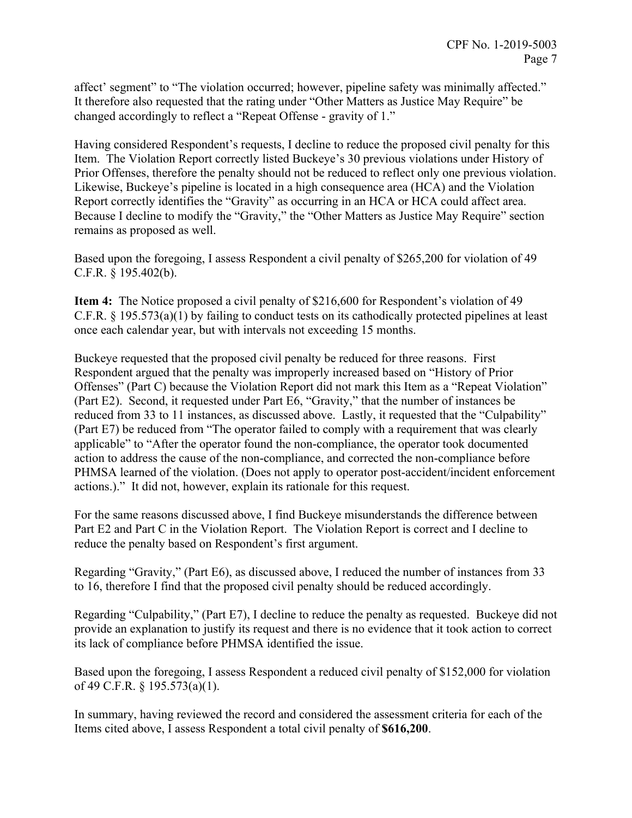affect' segment" to "The violation occurred; however, pipeline safety was minimally affected." It therefore also requested that the rating under "Other Matters as Justice May Require" be changed accordingly to reflect a "Repeat Offense - gravity of 1."

Having considered Respondent's requests, I decline to reduce the proposed civil penalty for this Item. The Violation Report correctly listed Buckeye's 30 previous violations under History of Prior Offenses, therefore the penalty should not be reduced to reflect only one previous violation. Likewise, Buckeye's pipeline is located in a high consequence area (HCA) and the Violation Report correctly identifies the "Gravity" as occurring in an HCA or HCA could affect area. Because I decline to modify the "Gravity," the "Other Matters as Justice May Require" section remains as proposed as well.

Based upon the foregoing, I assess Respondent a civil penalty of \$265,200 for violation of 49 C.F.R. § 195.402(b).

**Item 4:** The Notice proposed a civil penalty of \$216,600 for Respondent's violation of 49 C.F.R. § 195.573(a)(1) by failing to conduct tests on its cathodically protected pipelines at least once each calendar year, but with intervals not exceeding 15 months.

Buckeye requested that the proposed civil penalty be reduced for three reasons. First Respondent argued that the penalty was improperly increased based on "History of Prior Offenses" (Part C) because the Violation Report did not mark this Item as a "Repeat Violation" (Part E2). Second, it requested under Part E6, "Gravity," that the number of instances be reduced from 33 to 11 instances, as discussed above. Lastly, it requested that the "Culpability" (Part E7) be reduced from "The operator failed to comply with a requirement that was clearly applicable" to "After the operator found the non-compliance, the operator took documented action to address the cause of the non-compliance, and corrected the non-compliance before PHMSA learned of the violation. (Does not apply to operator post-accident/incident enforcement actions.)." It did not, however, explain its rationale for this request.

For the same reasons discussed above, I find Buckeye misunderstands the difference between Part E2 and Part C in the Violation Report. The Violation Report is correct and I decline to reduce the penalty based on Respondent's first argument.

Regarding "Gravity," (Part E6), as discussed above, I reduced the number of instances from 33 to 16, therefore I find that the proposed civil penalty should be reduced accordingly.

Regarding "Culpability," (Part E7), I decline to reduce the penalty as requested. Buckeye did not provide an explanation to justify its request and there is no evidence that it took action to correct its lack of compliance before PHMSA identified the issue.

Based upon the foregoing, I assess Respondent a reduced civil penalty of \$152,000 for violation of 49 C.F.R. § 195.573(a)(1).

In summary, having reviewed the record and considered the assessment criteria for each of the Items cited above, I assess Respondent a total civil penalty of **\$616,200**.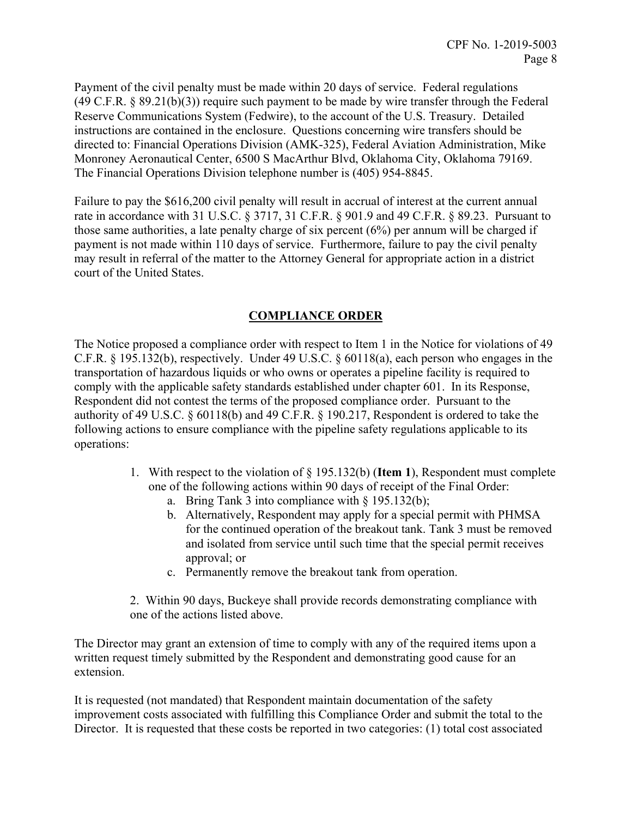Payment of the civil penalty must be made within 20 days of service. Federal regulations  $(49 \text{ C.F.R. } § 89.21(b)(3))$  require such payment to be made by wire transfer through the Federal Reserve Communications System (Fedwire), to the account of the U.S. Treasury. Detailed instructions are contained in the enclosure. Questions concerning wire transfers should be directed to: Financial Operations Division (AMK-325), Federal Aviation Administration, Mike Monroney Aeronautical Center, 6500 S MacArthur Blvd, Oklahoma City, Oklahoma 79169. The Financial Operations Division telephone number is (405) 954-8845.

Failure to pay the \$616,200 civil penalty will result in accrual of interest at the current annual rate in accordance with 31 U.S.C. § 3717, 31 C.F.R. § 901.9 and 49 C.F.R. § 89.23. Pursuant to those same authorities, a late penalty charge of six percent (6%) per annum will be charged if payment is not made within 110 days of service. Furthermore, failure to pay the civil penalty may result in referral of the matter to the Attorney General for appropriate action in a district court of the United States.

# **COMPLIANCE ORDER**

The Notice proposed a compliance order with respect to Item 1 in the Notice for violations of 49 C.F.R. § 195.132(b), respectively. Under 49 U.S.C. § 60118(a), each person who engages in the transportation of hazardous liquids or who owns or operates a pipeline facility is required to comply with the applicable safety standards established under chapter 601. In its Response, Respondent did not contest the terms of the proposed compliance order. Pursuant to the authority of 49 U.S.C. § 60118(b) and 49 C.F.R. § 190.217, Respondent is ordered to take the following actions to ensure compliance with the pipeline safety regulations applicable to its operations:

- 1. With respect to the violation of § 195.132(b) (**Item 1**), Respondent must complete one of the following actions within 90 days of receipt of the Final Order:
	- a. Bring Tank 3 into compliance with § 195.132(b);
	- b. Alternatively, Respondent may apply for a special permit with PHMSA for the continued operation of the breakout tank. Tank 3 must be removed and isolated from service until such time that the special permit receives approval; or
	- c. Permanently remove the breakout tank from operation.
- 2. Within 90 days, Buckeye shall provide records demonstrating compliance with one of the actions listed above.

The Director may grant an extension of time to comply with any of the required items upon a written request timely submitted by the Respondent and demonstrating good cause for an extension.

It is requested (not mandated) that Respondent maintain documentation of the safety improvement costs associated with fulfilling this Compliance Order and submit the total to the Director. It is requested that these costs be reported in two categories: (1) total cost associated